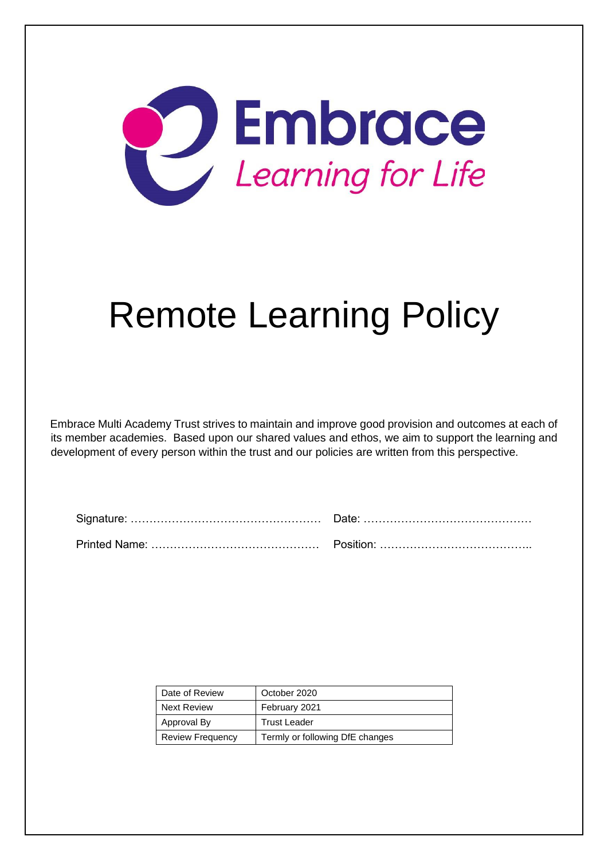

# Remote Learning Policy

Embrace Multi Academy Trust strives to maintain and improve good provision and outcomes at each of its member academies. Based upon our shared values and ethos, we aim to support the learning and development of every person within the trust and our policies are written from this perspective.

| Date of Review          | October 2020                    |
|-------------------------|---------------------------------|
| <b>Next Review</b>      | February 2021                   |
| Approval By             | <b>Trust Leader</b>             |
| <b>Review Frequency</b> | Termly or following DfE changes |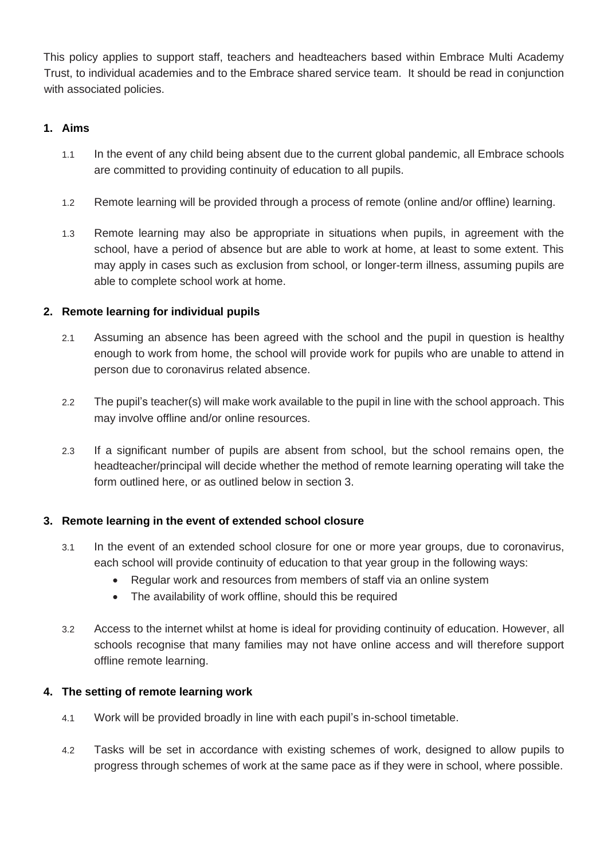This policy applies to support staff, teachers and headteachers based within Embrace Multi Academy Trust, to individual academies and to the Embrace shared service team. It should be read in conjunction with associated policies.

# **1. Aims**

- 1.1 In the event of any child being absent due to the current global pandemic, all Embrace schools are committed to providing continuity of education to all pupils.
- 1.2 Remote learning will be provided through a process of remote (online and/or offline) learning.
- 1.3 Remote learning may also be appropriate in situations when pupils, in agreement with the school, have a period of absence but are able to work at home, at least to some extent. This may apply in cases such as exclusion from school, or longer-term illness, assuming pupils are able to complete school work at home.

# **2. Remote learning for individual pupils**

- 2.1 Assuming an absence has been agreed with the school and the pupil in question is healthy enough to work from home, the school will provide work for pupils who are unable to attend in person due to coronavirus related absence.
- 2.2 The pupil's teacher(s) will make work available to the pupil in line with the school approach. This may involve offline and/or online resources.
- 2.3 If a significant number of pupils are absent from school, but the school remains open, the headteacher/principal will decide whether the method of remote learning operating will take the form outlined here, or as outlined below in section 3.

# **3. Remote learning in the event of extended school closure**

- 3.1 In the event of an extended school closure for one or more year groups, due to coronavirus, each school will provide continuity of education to that year group in the following ways:
	- Regular work and resources from members of staff via an online system
	- The availability of work offline, should this be required
- 3.2 Access to the internet whilst at home is ideal for providing continuity of education. However, all schools recognise that many families may not have online access and will therefore support offline remote learning.

# **4. The setting of remote learning work**

- 4.1 Work will be provided broadly in line with each pupil's in-school timetable.
- 4.2 Tasks will be set in accordance with existing schemes of work, designed to allow pupils to progress through schemes of work at the same pace as if they were in school, where possible.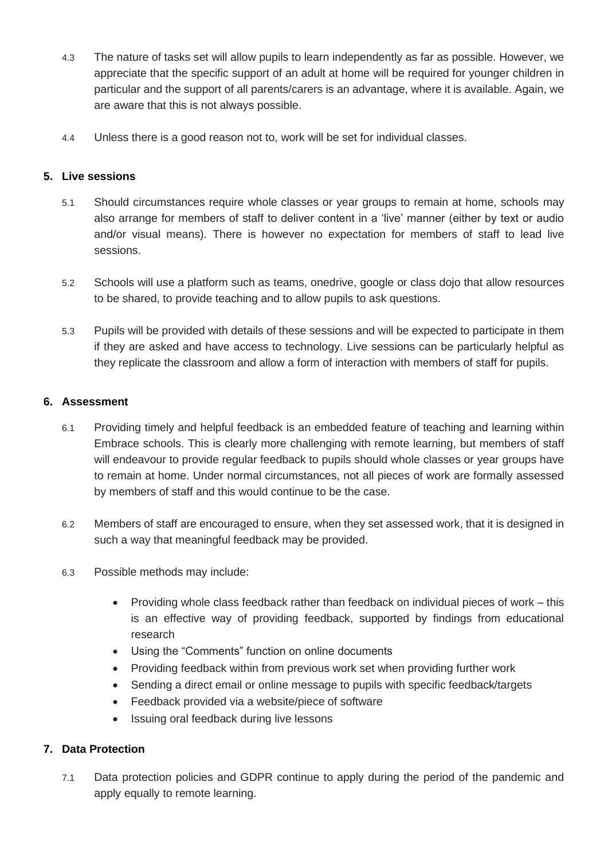- 4.3 The nature of tasks set will allow pupils to learn independently as far as possible. However, we appreciate that the specific support of an adult at home will be required for younger children in particular and the support of all parents/carers is an advantage, where it is available. Again, we are aware that this is not always possible.
- 4.4 Unless there is a good reason not to, work will be set for individual classes.

## **5. Live sessions**

- 5.1 Should circumstances require whole classes or year groups to remain at home, schools may also arrange for members of staff to deliver content in a 'live' manner (either by text or audio and/or visual means). There is however no expectation for members of staff to lead live sessions.
- 5.2 Schools will use a platform such as teams, onedrive, google or class dojo that allow resources to be shared, to provide teaching and to allow pupils to ask questions.
- 5.3 Pupils will be provided with details of these sessions and will be expected to participate in them if they are asked and have access to technology. Live sessions can be particularly helpful as they replicate the classroom and allow a form of interaction with members of staff for pupils.

## **6. Assessment**

- 6.1 Providing timely and helpful feedback is an embedded feature of teaching and learning within Embrace schools. This is clearly more challenging with remote learning, but members of staff will endeavour to provide regular feedback to pupils should whole classes or year groups have to remain at home. Under normal circumstances, not all pieces of work are formally assessed by members of staff and this would continue to be the case.
- 6.2 Members of staff are encouraged to ensure, when they set assessed work, that it is designed in such a way that meaningful feedback may be provided.
- 6.3 Possible methods may include:
	- Providing whole class feedback rather than feedback on individual pieces of work this is an effective way of providing feedback, supported by findings from educational research
	- Using the "Comments" function on online documents
	- Providing feedback within from previous work set when providing further work
	- Sending a direct email or online message to pupils with specific feedback/targets
	- Feedback provided via a website/piece of software
	- Issuing oral feedback during live lessons

# **7. Data Protection**

7.1 Data protection policies and GDPR continue to apply during the period of the pandemic and apply equally to remote learning.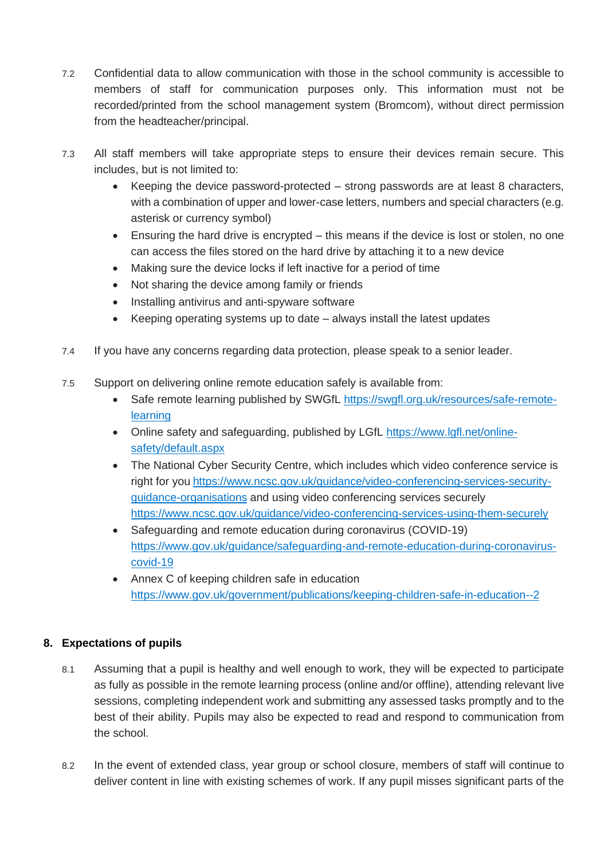- 7.2 Confidential data to allow communication with those in the school community is accessible to members of staff for communication purposes only. This information must not be recorded/printed from the school management system (Bromcom), without direct permission from the headteacher/principal.
- 7.3 All staff members will take appropriate steps to ensure their devices remain secure. This includes, but is not limited to:
	- Keeping the device password-protected  $-$  strong passwords are at least 8 characters, with a combination of upper and lower-case letters, numbers and special characters (e.g. asterisk or currency symbol)
	- Ensuring the hard drive is encrypted this means if the device is lost or stolen, no one can access the files stored on the hard drive by attaching it to a new device
	- Making sure the device locks if left inactive for a period of time
	- Not sharing the device among family or friends
	- Installing antivirus and anti-spyware software
	- Keeping operating systems up to date always install the latest updates
- 7.4 If you have any concerns regarding data protection, please speak to a senior leader.
- 7.5 Support on delivering online remote education safely is available from:
	- Safe remote learning published by SWGfL [https://swgfl.org.uk/resources/safe-remote](https://swgfl.org.uk/resources/safe-remote-learning)[learning](https://swgfl.org.uk/resources/safe-remote-learning)
	- Online safety and safeguarding, published by LGfL [https://www.lgfl.net/online](https://www.lgfl.net/online-safety/default.aspx)[safety/default.aspx](https://www.lgfl.net/online-safety/default.aspx)
	- The National Cyber Security Centre, which includes which video conference service is right for you [https://www.ncsc.gov.uk/guidance/video-conferencing-services-security](https://www.ncsc.gov.uk/guidance/video-conferencing-services-security-guidance-organisations)[guidance-organisations](https://www.ncsc.gov.uk/guidance/video-conferencing-services-security-guidance-organisations) and using video conferencing services securely <https://www.ncsc.gov.uk/guidance/video-conferencing-services-using-them-securely>
	- Safeguarding and remote education during coronavirus (COVID-19) [https://www.gov.uk/guidance/safeguarding-and-remote-education-during-coronavirus](https://www.gov.uk/guidance/safeguarding-and-remote-education-during-coronavirus-covid-19)[covid-19](https://www.gov.uk/guidance/safeguarding-and-remote-education-during-coronavirus-covid-19)
	- Annex C of keeping children safe in education <https://www.gov.uk/government/publications/keeping-children-safe-in-education--2>

# **8. Expectations of pupils**

- 8.1 Assuming that a pupil is healthy and well enough to work, they will be expected to participate as fully as possible in the remote learning process (online and/or offline), attending relevant live sessions, completing independent work and submitting any assessed tasks promptly and to the best of their ability. Pupils may also be expected to read and respond to communication from the school.
- 8.2 In the event of extended class, year group or school closure, members of staff will continue to deliver content in line with existing schemes of work. If any pupil misses significant parts of the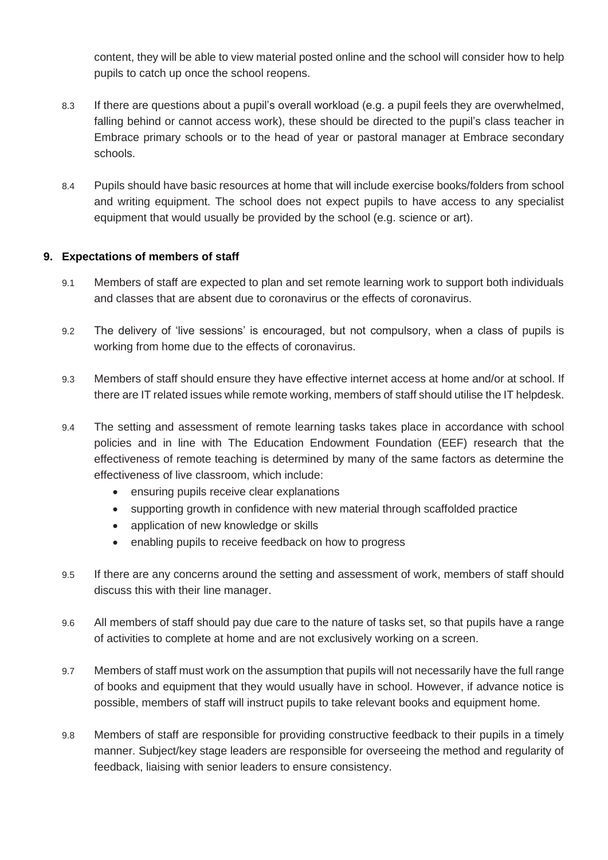content, they will be able to view material posted online and the school will consider how to help pupils to catch up once the school reopens.

- 8.3 If there are questions about a pupil's overall workload (e.g. a pupil feels they are overwhelmed, falling behind or cannot access work), these should be directed to the pupil's class teacher in Embrace primary schools or to the head of year or pastoral manager at Embrace secondary schools.
- 8.4 Pupils should have basic resources at home that will include exercise books/folders from school and writing equipment. The school does not expect pupils to have access to any specialist equipment that would usually be provided by the school (e.g. science or art).

# **9. Expectations of members of staff**

- 9.1 Members of staff are expected to plan and set remote learning work to support both individuals and classes that are absent due to coronavirus or the effects of coronavirus.
- 9.2 The delivery of 'live sessions' is encouraged, but not compulsory, when a class of pupils is working from home due to the effects of coronavirus.
- 9.3 Members of staff should ensure they have effective internet access at home and/or at school. If there are IT related issues while remote working, members of staff should utilise the IT helpdesk.
- 9.4 The setting and assessment of remote learning tasks takes place in accordance with school policies and in line with The Education Endowment Foundation (EEF) research that the effectiveness of remote teaching is determined by many of the same factors as determine the effectiveness of live classroom, which include:
	- ensuring pupils receive clear explanations
	- supporting growth in confidence with new material through scaffolded practice
	- application of new knowledge or skills
	- enabling pupils to receive feedback on how to progress
- 9.5 If there are any concerns around the setting and assessment of work, members of staff should discuss this with their line manager.
- 9.6 All members of staff should pay due care to the nature of tasks set, so that pupils have a range of activities to complete at home and are not exclusively working on a screen.
- 9.7 Members of staff must work on the assumption that pupils will not necessarily have the full range of books and equipment that they would usually have in school. However, if advance notice is possible, members of staff will instruct pupils to take relevant books and equipment home.
- 9.8 Members of staff are responsible for providing constructive feedback to their pupils in a timely manner. Subject/key stage leaders are responsible for overseeing the method and regularity of feedback, liaising with senior leaders to ensure consistency.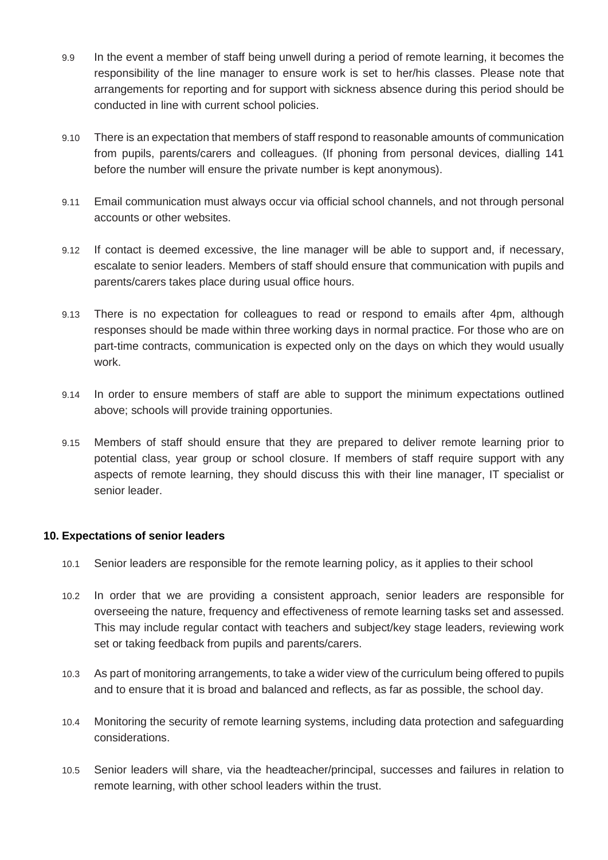- 9.9 In the event a member of staff being unwell during a period of remote learning, it becomes the responsibility of the line manager to ensure work is set to her/his classes. Please note that arrangements for reporting and for support with sickness absence during this period should be conducted in line with current school policies.
- 9.10 There is an expectation that members of staff respond to reasonable amounts of communication from pupils, parents/carers and colleagues. (If phoning from personal devices, dialling 141 before the number will ensure the private number is kept anonymous).
- 9.11 Email communication must always occur via official school channels, and not through personal accounts or other websites.
- 9.12 If contact is deemed excessive, the line manager will be able to support and, if necessary, escalate to senior leaders. Members of staff should ensure that communication with pupils and parents/carers takes place during usual office hours.
- 9.13 There is no expectation for colleagues to read or respond to emails after 4pm, although responses should be made within three working days in normal practice. For those who are on part-time contracts, communication is expected only on the days on which they would usually work.
- 9.14 In order to ensure members of staff are able to support the minimum expectations outlined above; schools will provide training opportunies.
- 9.15 Members of staff should ensure that they are prepared to deliver remote learning prior to potential class, year group or school closure. If members of staff require support with any aspects of remote learning, they should discuss this with their line manager, IT specialist or senior leader.

## **10. Expectations of senior leaders**

- 10.1 Senior leaders are responsible for the remote learning policy, as it applies to their school
- 10.2 In order that we are providing a consistent approach, senior leaders are responsible for overseeing the nature, frequency and effectiveness of remote learning tasks set and assessed. This may include regular contact with teachers and subject/key stage leaders, reviewing work set or taking feedback from pupils and parents/carers.
- 10.3 As part of monitoring arrangements, to take a wider view of the curriculum being offered to pupils and to ensure that it is broad and balanced and reflects, as far as possible, the school day.
- 10.4 Monitoring the security of remote learning systems, including data protection and safeguarding considerations.
- 10.5 Senior leaders will share, via the headteacher/principal, successes and failures in relation to remote learning, with other school leaders within the trust.